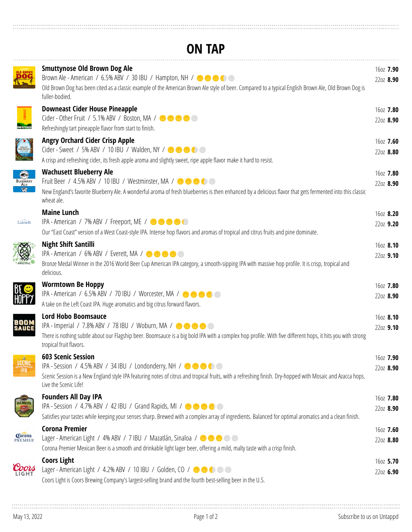## **ON TAP**

|                          | <b>Smuttynose Old Brown Dog Ale</b><br>Brown Ale - American / 6.5% ABV / 30 IBU / Hampton, NH / $\bullet \bullet \bullet \bullet$<br>Old Brown Dog has been cited as a classic example of the American Brown Ale style of beer. Compared to a typical English Brown Ale, Old Brown Dog is<br>fuller-bodied. | 160Z 7.90<br>2202 8.90 |
|--------------------------|-------------------------------------------------------------------------------------------------------------------------------------------------------------------------------------------------------------------------------------------------------------------------------------------------------------|------------------------|
| NFILTERED                | <b>Downeast Cider House Pineapple</b><br>Refreshingly tart pineapple flavor from start to finish.                                                                                                                                                                                                           | 160Z 7.80<br>2202 8.90 |
| ORCHARD                  | <b>Angry Orchard Cider Crisp Apple</b><br>Cider - Sweet / 5% ABV / 10 IBU / Walden, NY / $\bullet \bullet \bullet \bullet$<br>A crisp and refreshing cider, its fresh apple aroma and slightly sweet, ripe apple flavor make it hard to resist.                                                             | 160Z 7.60<br>2202 8.80 |
| BLUEBERRY<br>ALE         | <b>Wachusett Blueberry Ale</b><br>Fruit Beer / 4.5% ABV / 10 IBU / Westminster, MA / <b>0000</b><br>New England's favorite Blueberry Ale. A wonderful aroma of fresh blueberries is then enhanced by a delicious flavor that gets fermented into this classic<br>wheat ale.                                 | 160Z 7.80<br>2202 8.90 |
| Lunch                    | <b>Maine Lunch</b><br>IPA - American / 7% ABV / Freeport, ME / <b>OCC</b><br>Our "East Coast" version of a West Coast-style IPA. Intense hop flavors and aromas of tropical and citrus fruits and pine dominate.                                                                                            | 160Z 8.20<br>2202 9.20 |
|                          | <b>Night Shift Santilli</b><br>IPA - American / 6% ABV / Everett, MA / $\bullet \bullet \bullet \bullet$<br>Bronze Medal Winner in the 2016 World Beer Cup American IPA category, a smooth-sipping IPA with massive hop profile. It is crisp, tropical and<br>delicious.                                    | 160Z 8.10<br>2202 9.10 |
| HOPP)                    | <b>Wormtown Be Hoppy</b><br>IPA - American / 6.5% ABV / 70 IBU / Worcester, MA / $\bullet \bullet \bullet \bullet$<br>A take on the Left Coast IPA. Huge aromatics and big citrus forward flavors.                                                                                                          | 160Z 7.80<br>2202 8.90 |
| <b>BOOM</b><br>SAUCE     | <b>Lord Hobo Boomsauce</b><br>IPA - Imperial / 7.8% ABV / 78 IBU / Woburn, MA / 000<br>There is nothing subtle about our Flagship beer. Boomsauce is a big bold IPA with a complex hop profile. With five different hops, it hits you with strong<br>tropical fruit flavors.                                | 160Z 8.10<br>2202 9.10 |
| SCENIC<br>IPA            | <b>603 Scenic Session</b><br>IPA - Session / 4.5% ABV / 34 IBU / Londonderry, NH / $\bullet \bullet \bullet \bullet$<br>Scenic Session is a New England style IPA featuring notes of citrus and tropical fruits, with a refreshing finish. Dry-hopped with Mosaic and Azacca hops.<br>Live the Scenic Life! | 160Z 7.90<br>2202 8.90 |
|                          | <b>Founders All Day IPA</b><br>IPA - Session / 4.7% ABV / 42 IBU / Grand Rapids, MI / $\bullet \bullet \bullet \bullet$<br>Satisfies your tastes while keeping your senses sharp. Brewed with a complex array of ingredients. Balanced for optimal aromatics and a clean finish.                            | 160Z 7.80<br>2202 8.90 |
| <b>Corona</b><br>PREMIER | <b>Corona Premier</b><br>Lager - American Light / 4% ABV / 7 IBU / Mazatlán, Sinaloa / $\bullet \bullet \bullet \bullet$<br>Corona Premier Mexican Beer is a smooth and drinkable light lager beer, offering a mild, malty taste with a crisp finish.                                                       | 160Z 7.60<br>2202 8.80 |
|                          | <b>Coors Light</b><br>Lager - American Light / 4.2% ABV / 10 IBU / Golden, CO / $\bullet\bullet\bullet\bullet$<br>Coors Light is Coors Brewing Company's largest-selling brand and the fourth best-selling beer in the U.S.                                                                                 | 160Z 5.70<br>2202 6.90 |